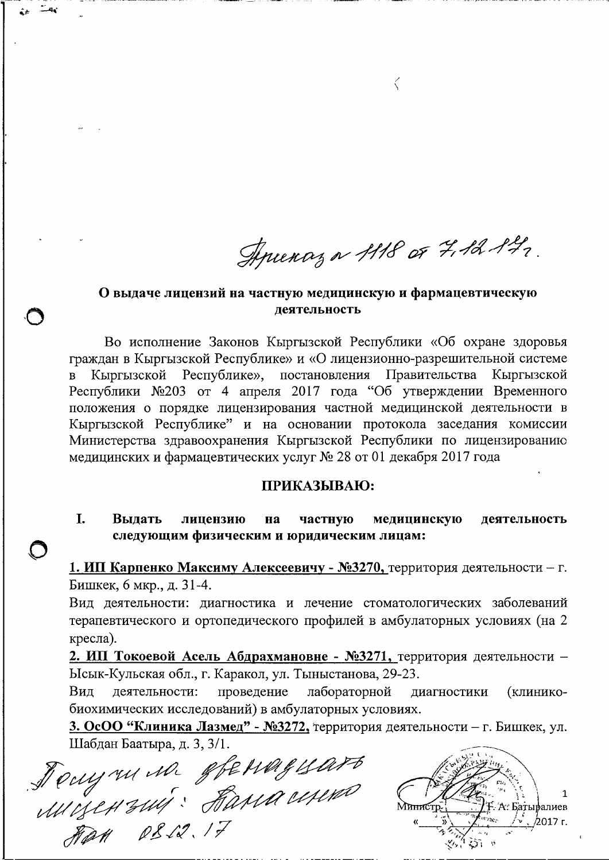Aprenaz a 1118 or 7,12 142.

 $\bigg\langle$ 

# О выдаче лицензий на частную медицинскую и фармацевтическую леятельность

Во исполнение Законов Кыргызской Республики «Об охране здоровья граждан в Кыргызской Республике» и «О лицензионно-разрешительной системе Республике», постановления Правительства Кыргызской Кыргызской Республики №203 от 4 апреля 2017 года "Об утверждении Временного положения о порядке лицензирования частной медицинской деятельности в Кыргызской Республике" и на основании протокола заседания комиссии Министерства здравоохранения Кыргызской Республики по лицензированию медицинских и фармацевтических услуг № 28 от 01 декабря 2017 года

### ПРИКАЗЫВАЮ:

L. Вылать частную лицензию на медицинскую деятельность следующим физическим и юридическим лицам:

1. ИП Карпенко Максиму Алексеевичу - №3270, территория деятельности - г. Бишкек, 6 мкр., д. 31-4.

Вид деятельности: диагностика и лечение стоматологических заболеваний терапевтического и ортопедического профилей в амбулаторных условиях (на 2 кресла).

2. ИП Токоевой Асель Абдрахмановне - №3271, территория деятельности -Ысык-Кульская обл., г. Каракол, ул. Тыныстанова, 29-23.

деятельности: проведение Вид лабораторной диагностики (клиникобиохимических исследований) в амбулаторных условиях.

3. ОсОО "Клиника Лазмед" - №3272, территория деятельности - г. Бишкек, ул. Шабдан Баатыра, д. 3, 3/1.

Jouy me me gjenngyart

1 **Ғ. А. Батыралиев** ⁄2017 г.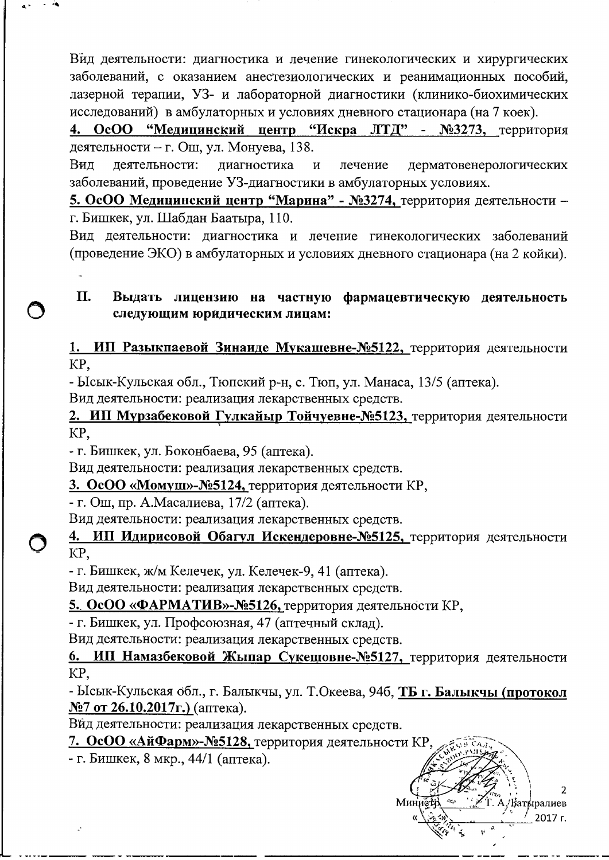Вид деятельности: диагностика и лечение гинекологических и хирургических заболеваний, с оказанием анестезиологических и реанимационных пособий, лазерной терапии, УЗ- и лабораторной диагностики (клинико-биохимических исследований) в амбулаторных и условиях дневного стационара (на 7 коек).

4. ОсОО "Медицинский центр "Искра ЛТД" - №3273, территория деятельности - г. Ош, ул. Монуева, 138.

Вид деятельности: лиагностика  $\overline{M}$ лечение дерматовенерологических заболеваний, проведение УЗ-диагностики в амбулаторных условиях.

5. ОсОО Медицинский центр "Марина" - №3274, территория деятельности г. Бишкек, ул. Шабдан Баатыра, 110.

Вид деятельности: диагностика и лечение гинекологических заболеваний (проведение ЭКО) в амбулаторных и условиях дневного стационара (на 2 койки).

#### II. Выдать лицензию на частную фармацевтическую деятельность следующим юридическим лицам:

1. ИП Разыкпаевой Зинаиде Мукашевне-№5122, территория деятельности KP.

- Ысык-Кульская обл., Тюпский р-н, с. Тюп, ул. Манаса, 13/5 (аптека).

Вид деятельности: реализация лекарственных средств.

2. ИП Мурзабековой Гулкайыр Тойчуевне-№5123, территория деятельности KP.

- г. Бишкек, ул. Боконбаева, 95 (аптека).

Вид деятельности: реализация лекарственных средств.

3. ОсОО «Момуш»-№5124, территория деятельности КР,

- г. Ош, пр. А.Масалиева, 17/2 (аптека).

Вид деятельности: реализация лекарственных средств.

#### ИП Идирисовой Обагул Искендеровне-№5125, территория деятельности 4. KP,

- г. Бишкек, ж/м Келечек, ул. Келечек-9, 41 (аптека).

Вид деятельности: реализация лекарственных средств.

5. ОсОО «ФАРМАТИВ»-№5126, территория деятельности КР,

- г. Бишкек, ул. Профсоюзная, 47 (аптечный склад).

Вид деятельности: реализация лекарственных средств.

ИП Намазбековой Жыпар Сукешовне-№5127, территория деятельности 6. KP.

- Ысык-Кульская обл., г. Балыкчы, ул. Т.Океева, 94б, ТБ г. Балыкчы (протокол  $N$ <sup>27</sup> от 26.10.2017 г.) (аптека).

Вйд деятельности: реализация лекарственных средств.

7. ОсОО «АйФарм»-№5128, территория деятельности КР,

- г. Бишкек, 8 мкр., 44/1 (аптека).